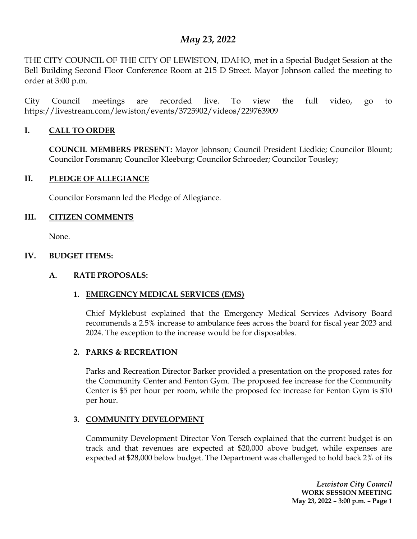# *May 23, 2022*

THE CITY COUNCIL OF THE CITY OF LEWISTON, IDAHO, met in a Special Budget Session at the Bell Building Second Floor Conference Room at 215 D Street. Mayor Johnson called the meeting to order at 3:00 p.m.

City Council meetings are recorded live. To view the full video, go to https://livestream.com/lewiston/events/3725902/videos/229763909

## **I. CALL TO ORDER**

**COUNCIL MEMBERS PRESENT:** Mayor Johnson; Council President Liedkie; Councilor Blount; Councilor Forsmann; Councilor Kleeburg; Councilor Schroeder; Councilor Tousley;

#### **II. PLEDGE OF ALLEGIANCE**

Councilor Forsmann led the Pledge of Allegiance.

### **III. CITIZEN COMMENTS**

None.

### **IV. BUDGET ITEMS:**

# **A. RATE PROPOSALS:**

# **1. EMERGENCY MEDICAL SERVICES (EMS)**

Chief Myklebust explained that the Emergency Medical Services Advisory Board recommends a 2.5% increase to ambulance fees across the board for fiscal year 2023 and 2024. The exception to the increase would be for disposables.

# **2. PARKS & RECREATION**

Parks and Recreation Director Barker provided a presentation on the proposed rates for the Community Center and Fenton Gym. The proposed fee increase for the Community Center is \$5 per hour per room, while the proposed fee increase for Fenton Gym is \$10 per hour.

#### **3. COMMUNITY DEVELOPMENT**

Community Development Director Von Tersch explained that the current budget is on track and that revenues are expected at \$20,000 above budget, while expenses are expected at \$28,000 below budget. The Department was challenged to hold back 2% of its

> *Lewiston City Council* **WORK SESSION MEETING May 23, 2022 – 3:00 p.m. – Page 1**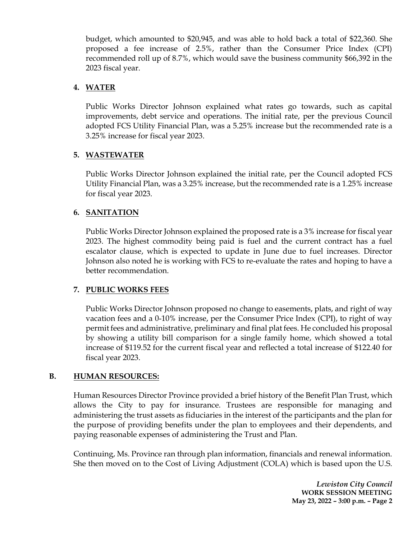budget, which amounted to \$20,945, and was able to hold back a total of \$22,360. She proposed a fee increase of 2.5%, rather than the Consumer Price Index (CPI) recommended roll up of 8.7%, which would save the business community \$66,392 in the 2023 fiscal year.

#### **4. WATER**

Public Works Director Johnson explained what rates go towards, such as capital improvements, debt service and operations. The initial rate, per the previous Council adopted FCS Utility Financial Plan, was a 5.25% increase but the recommended rate is a 3.25% increase for fiscal year 2023.

#### **5. WASTEWATER**

Public Works Director Johnson explained the initial rate, per the Council adopted FCS Utility Financial Plan, was a 3.25% increase, but the recommended rate is a 1.25% increase for fiscal year 2023.

### **6. SANITATION**

Public Works Director Johnson explained the proposed rate is a 3% increase for fiscal year 2023. The highest commodity being paid is fuel and the current contract has a fuel escalator clause, which is expected to update in June due to fuel increases. Director Johnson also noted he is working with FCS to re-evaluate the rates and hoping to have a better recommendation.

#### **7. PUBLIC WORKS FEES**

Public Works Director Johnson proposed no change to easements, plats, and right of way vacation fees and a 0-10% increase, per the Consumer Price Index (CPI), to right of way permit fees and administrative, preliminary and final plat fees. He concluded his proposal by showing a utility bill comparison for a single family home, which showed a total increase of \$119.52 for the current fiscal year and reflected a total increase of \$122.40 for fiscal year 2023.

#### **B. HUMAN RESOURCES:**

Human Resources Director Province provided a brief history of the Benefit Plan Trust, which allows the City to pay for insurance. Trustees are responsible for managing and administering the trust assets as fiduciaries in the interest of the participants and the plan for the purpose of providing benefits under the plan to employees and their dependents, and paying reasonable expenses of administering the Trust and Plan.

Continuing, Ms. Province ran through plan information, financials and renewal information. She then moved on to the Cost of Living Adjustment (COLA) which is based upon the U.S.

> *Lewiston City Council* **WORK SESSION MEETING May 23, 2022 – 3:00 p.m. – Page 2**